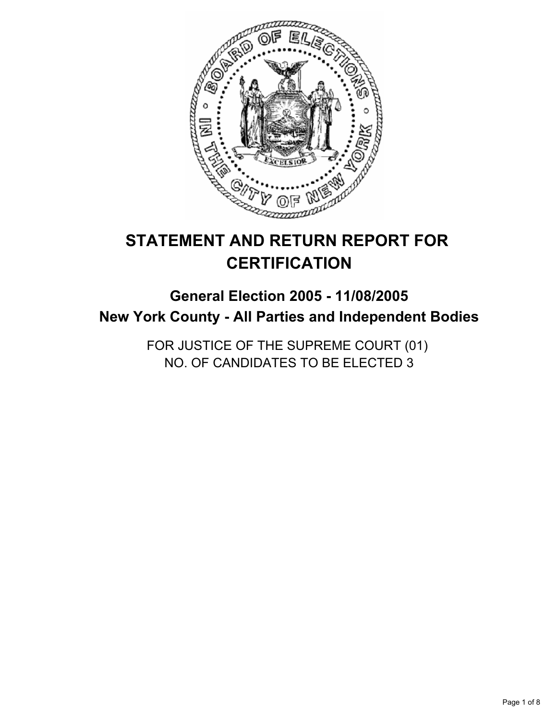

# **STATEMENT AND RETURN REPORT FOR CERTIFICATION**

## **General Election 2005 - 11/08/2005 New York County - All Parties and Independent Bodies**

FOR JUSTICE OF THE SUPREME COURT (01) NO. OF CANDIDATES TO BE ELECTED 3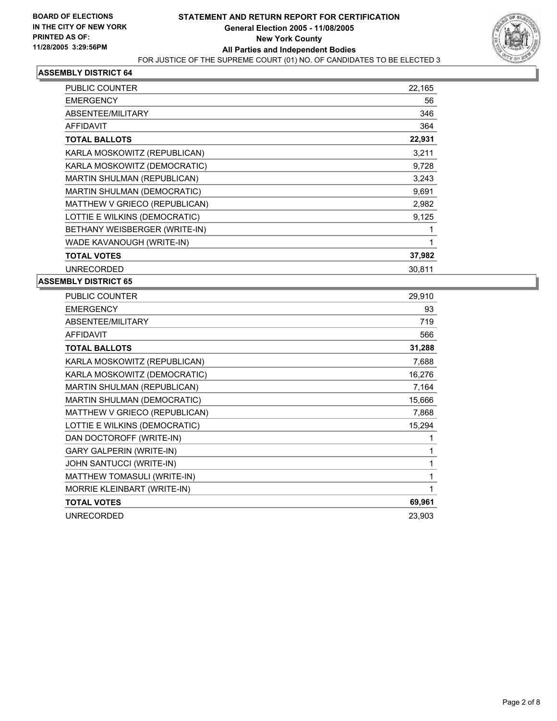

| PUBLIC COUNTER                | 22,165 |
|-------------------------------|--------|
| <b>EMERGENCY</b>              | 56     |
| ABSENTEE/MILITARY             | 346    |
| <b>AFFIDAVIT</b>              | 364    |
| <b>TOTAL BALLOTS</b>          | 22,931 |
| KARLA MOSKOWITZ (REPUBLICAN)  | 3,211  |
| KARLA MOSKOWITZ (DEMOCRATIC)  | 9,728  |
| MARTIN SHULMAN (REPUBLICAN)   | 3,243  |
| MARTIN SHULMAN (DEMOCRATIC)   | 9,691  |
| MATTHEW V GRIECO (REPUBLICAN) | 2,982  |
| LOTTIE E WILKINS (DEMOCRATIC) | 9,125  |
| BETHANY WEISBERGER (WRITE-IN) |        |
| WADE KAVANOUGH (WRITE-IN)     |        |
| <b>TOTAL VOTES</b>            | 37,982 |
| <b>UNRECORDED</b>             | 30,811 |

| PUBLIC COUNTER                  | 29,910 |
|---------------------------------|--------|
| <b>EMERGENCY</b>                | 93     |
| ABSENTEE/MILITARY               | 719    |
| <b>AFFIDAVIT</b>                | 566    |
| <b>TOTAL BALLOTS</b>            | 31,288 |
| KARLA MOSKOWITZ (REPUBLICAN)    | 7,688  |
| KARLA MOSKOWITZ (DEMOCRATIC)    | 16,276 |
| MARTIN SHULMAN (REPUBLICAN)     | 7,164  |
| MARTIN SHULMAN (DEMOCRATIC)     | 15,666 |
| MATTHEW V GRIECO (REPUBLICAN)   | 7,868  |
| LOTTIE E WILKINS (DEMOCRATIC)   | 15,294 |
| DAN DOCTOROFF (WRITE-IN)        |        |
| <b>GARY GALPERIN (WRITE-IN)</b> |        |
| JOHN SANTUCCI (WRITE-IN)        |        |
| MATTHEW TOMASULI (WRITE-IN)     |        |
| MORRIE KLEINBART (WRITE-IN)     |        |
| <b>TOTAL VOTES</b>              | 69,961 |
| <b>UNRECORDED</b>               | 23,903 |
|                                 |        |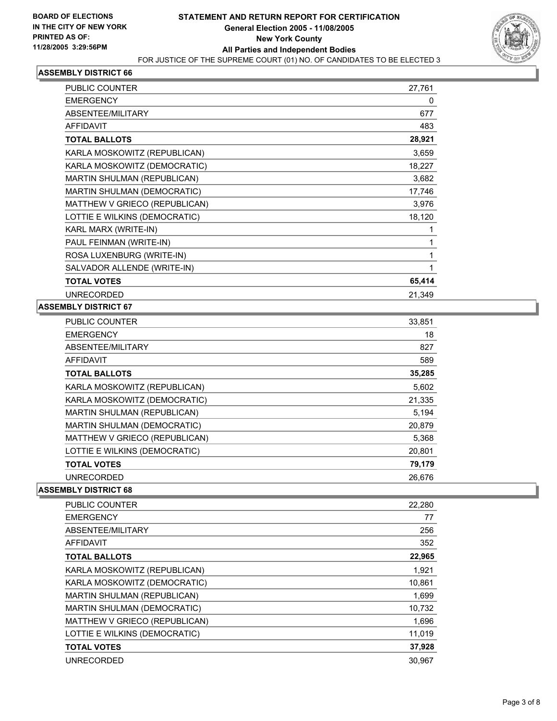

| <b>PUBLIC COUNTER</b>              | 27,761 |
|------------------------------------|--------|
| <b>EMERGENCY</b>                   | 0      |
| <b>ABSENTEE/MILITARY</b>           | 677    |
| <b>AFFIDAVIT</b>                   | 483    |
| <b>TOTAL BALLOTS</b>               | 28,921 |
| KARLA MOSKOWITZ (REPUBLICAN)       | 3,659  |
| KARLA MOSKOWITZ (DEMOCRATIC)       | 18,227 |
| MARTIN SHULMAN (REPUBLICAN)        | 3,682  |
| <b>MARTIN SHULMAN (DEMOCRATIC)</b> | 17,746 |
| MATTHEW V GRIECO (REPUBLICAN)      | 3,976  |
| LOTTIE E WILKINS (DEMOCRATIC)      | 18,120 |
| KARL MARX (WRITE-IN)               |        |
| PAUL FEINMAN (WRITE-IN)            |        |
| ROSA LUXENBURG (WRITE-IN)          |        |
| SALVADOR ALLENDE (WRITE-IN)        |        |
| <b>TOTAL VOTES</b>                 | 65,414 |
| <b>UNRECORDED</b>                  | 21,349 |

## **ASSEMBLY DISTRICT 67**

| <b>PUBLIC COUNTER</b>              | 33,851 |
|------------------------------------|--------|
| <b>EMERGENCY</b>                   | 18     |
| ABSENTEE/MILITARY                  | 827    |
| <b>AFFIDAVIT</b>                   | 589    |
| <b>TOTAL BALLOTS</b>               | 35,285 |
| KARLA MOSKOWITZ (REPUBLICAN)       | 5.602  |
| KARLA MOSKOWITZ (DEMOCRATIC)       | 21,335 |
| MARTIN SHULMAN (REPUBLICAN)        | 5,194  |
| <b>MARTIN SHULMAN (DEMOCRATIC)</b> | 20,879 |
| MATTHEW V GRIECO (REPUBLICAN)      | 5,368  |
| LOTTIE E WILKINS (DEMOCRATIC)      | 20,801 |
| <b>TOTAL VOTES</b>                 | 79,179 |
| <b>UNRECORDED</b>                  | 26.676 |

| <b>PUBLIC COUNTER</b>              | 22,280 |
|------------------------------------|--------|
| <b>EMERGENCY</b>                   | 77     |
| ABSENTEE/MILITARY                  | 256    |
| <b>AFFIDAVIT</b>                   | 352    |
| <b>TOTAL BALLOTS</b>               | 22,965 |
| KARLA MOSKOWITZ (REPUBLICAN)       | 1,921  |
| KARLA MOSKOWITZ (DEMOCRATIC)       | 10,861 |
| MARTIN SHULMAN (REPUBLICAN)        | 1,699  |
| <b>MARTIN SHULMAN (DEMOCRATIC)</b> | 10,732 |
| MATTHEW V GRIECO (REPUBLICAN)      | 1,696  |
| LOTTIE E WILKINS (DEMOCRATIC)      | 11,019 |
| <b>TOTAL VOTES</b>                 | 37,928 |
| <b>UNRECORDED</b>                  | 30.967 |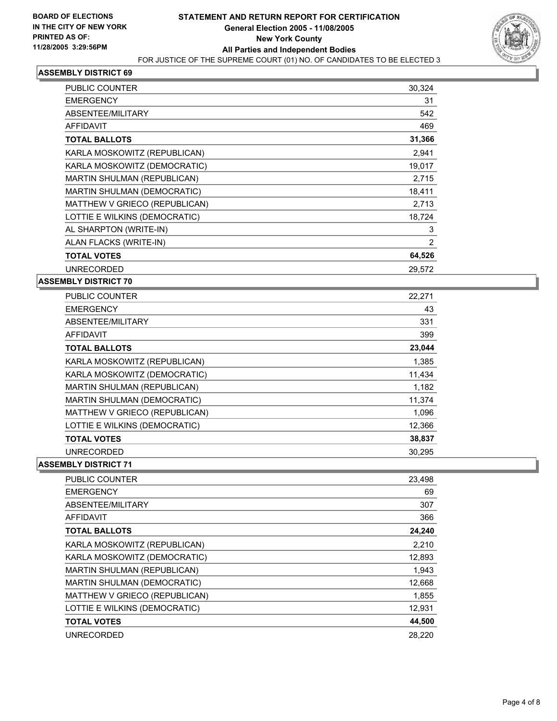

| PUBLIC COUNTER                | 30,324 |
|-------------------------------|--------|
| <b>EMERGENCY</b>              | 31     |
| ABSENTEE/MILITARY             | 542    |
| <b>AFFIDAVIT</b>              | 469    |
| <b>TOTAL BALLOTS</b>          | 31,366 |
| KARLA MOSKOWITZ (REPUBLICAN)  | 2,941  |
| KARLA MOSKOWITZ (DEMOCRATIC)  | 19,017 |
| MARTIN SHULMAN (REPUBLICAN)   | 2,715  |
| MARTIN SHULMAN (DEMOCRATIC)   | 18,411 |
| MATTHEW V GRIECO (REPUBLICAN) | 2,713  |
| LOTTIE E WILKINS (DEMOCRATIC) | 18,724 |
| AL SHARPTON (WRITE-IN)        | 3      |
| ALAN FLACKS (WRITE-IN)        | 2      |
| <b>TOTAL VOTES</b>            | 64,526 |
| <b>UNRECORDED</b>             | 29,572 |

## **ASSEMBLY DISTRICT 70**

| <b>PUBLIC COUNTER</b>              | 22,271 |  |
|------------------------------------|--------|--|
| <b>EMERGENCY</b>                   | 43     |  |
| ABSENTEE/MILITARY                  | 331    |  |
| <b>AFFIDAVIT</b>                   | 399    |  |
| <b>TOTAL BALLOTS</b>               | 23,044 |  |
| KARLA MOSKOWITZ (REPUBLICAN)       | 1,385  |  |
| KARLA MOSKOWITZ (DEMOCRATIC)       | 11,434 |  |
| MARTIN SHULMAN (REPUBLICAN)        | 1,182  |  |
| <b>MARTIN SHULMAN (DEMOCRATIC)</b> | 11,374 |  |
| MATTHEW V GRIECO (REPUBLICAN)      | 1,096  |  |
| LOTTIE E WILKINS (DEMOCRATIC)      | 12.366 |  |
| <b>TOTAL VOTES</b>                 | 38,837 |  |
| <b>UNRECORDED</b>                  | 30,295 |  |

| <b>PUBLIC COUNTER</b>              | 23,498 |
|------------------------------------|--------|
| <b>EMERGENCY</b>                   | 69     |
| ABSENTEE/MILITARY                  | 307    |
| AFFIDAVIT                          | 366    |
| <b>TOTAL BALLOTS</b>               | 24,240 |
| KARLA MOSKOWITZ (REPUBLICAN)       | 2.210  |
| KARLA MOSKOWITZ (DEMOCRATIC)       | 12,893 |
| MARTIN SHULMAN (REPUBLICAN)        | 1,943  |
| <b>MARTIN SHULMAN (DEMOCRATIC)</b> | 12,668 |
| MATTHEW V GRIECO (REPUBLICAN)      | 1,855  |
| LOTTIE E WILKINS (DEMOCRATIC)      | 12,931 |
| <b>TOTAL VOTES</b>                 | 44,500 |
| <b>UNRECORDED</b>                  | 28,220 |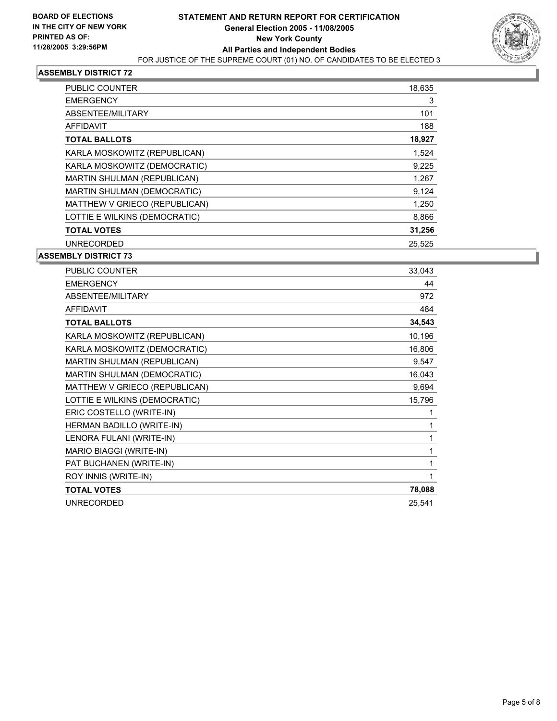

| <b>PUBLIC COUNTER</b>         | 18,635 |
|-------------------------------|--------|
| <b>EMERGENCY</b>              | 3      |
| ABSENTEE/MILITARY             | 101    |
| AFFIDAVIT                     | 188    |
| <b>TOTAL BALLOTS</b>          | 18,927 |
| KARLA MOSKOWITZ (REPUBLICAN)  | 1,524  |
| KARLA MOSKOWITZ (DEMOCRATIC)  | 9,225  |
| MARTIN SHULMAN (REPUBLICAN)   | 1,267  |
| MARTIN SHULMAN (DEMOCRATIC)   | 9,124  |
| MATTHEW V GRIECO (REPUBLICAN) | 1,250  |
| LOTTIE E WILKINS (DEMOCRATIC) | 8,866  |
| <b>TOTAL VOTES</b>            | 31,256 |
| <b>UNRECORDED</b>             | 25,525 |

| PUBLIC COUNTER                | 33,043 |
|-------------------------------|--------|
| <b>EMERGENCY</b>              | 44     |
| ABSENTEE/MILITARY             | 972    |
| <b>AFFIDAVIT</b>              | 484    |
| <b>TOTAL BALLOTS</b>          | 34,543 |
| KARLA MOSKOWITZ (REPUBLICAN)  | 10,196 |
| KARLA MOSKOWITZ (DEMOCRATIC)  | 16,806 |
| MARTIN SHULMAN (REPUBLICAN)   | 9,547  |
| MARTIN SHULMAN (DEMOCRATIC)   | 16,043 |
| MATTHEW V GRIECO (REPUBLICAN) | 9,694  |
| LOTTIE E WILKINS (DEMOCRATIC) | 15,796 |
| ERIC COSTELLO (WRITE-IN)      |        |
| HERMAN BADILLO (WRITE-IN)     |        |
| LENORA FULANI (WRITE-IN)      |        |
| MARIO BIAGGI (WRITE-IN)       |        |
| PAT BUCHANEN (WRITE-IN)       |        |
| ROY INNIS (WRITE-IN)          |        |
| <b>TOTAL VOTES</b>            | 78,088 |
| <b>UNRECORDED</b>             | 25,541 |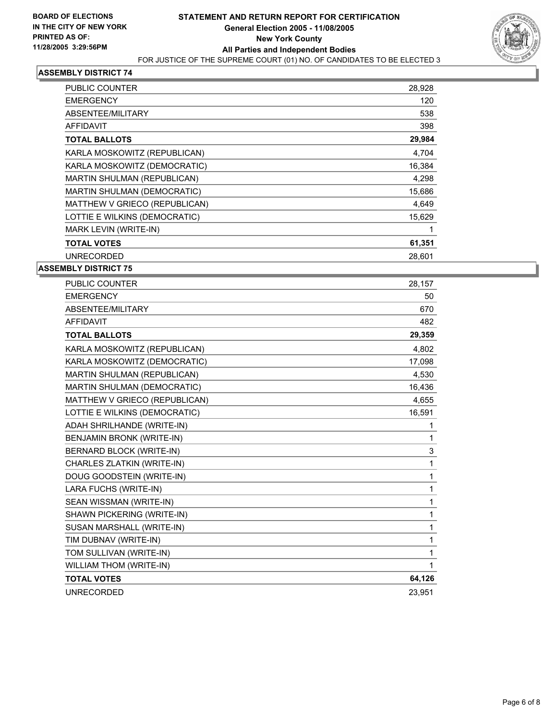

| PUBLIC COUNTER                | 28,928 |
|-------------------------------|--------|
| <b>EMERGENCY</b>              | 120    |
| ABSENTEE/MILITARY             | 538    |
| AFFIDAVIT                     | 398    |
| <b>TOTAL BALLOTS</b>          | 29,984 |
| KARLA MOSKOWITZ (REPUBLICAN)  | 4,704  |
| KARLA MOSKOWITZ (DEMOCRATIC)  | 16,384 |
| MARTIN SHULMAN (REPUBLICAN)   | 4,298  |
| MARTIN SHULMAN (DEMOCRATIC)   | 15,686 |
| MATTHEW V GRIECO (REPUBLICAN) | 4,649  |
| LOTTIE E WILKINS (DEMOCRATIC) | 15,629 |
| MARK LEVIN (WRITE-IN)         |        |
| <b>TOTAL VOTES</b>            | 61,351 |
| <b>UNRECORDED</b>             | 28,601 |

| PUBLIC COUNTER                     | 28,157 |
|------------------------------------|--------|
| <b>EMERGENCY</b>                   | 50     |
| <b>ABSENTEE/MILITARY</b>           | 670    |
| <b>AFFIDAVIT</b>                   | 482    |
| <b>TOTAL BALLOTS</b>               | 29,359 |
| KARLA MOSKOWITZ (REPUBLICAN)       | 4,802  |
| KARLA MOSKOWITZ (DEMOCRATIC)       | 17,098 |
| <b>MARTIN SHULMAN (REPUBLICAN)</b> | 4,530  |
| MARTIN SHULMAN (DEMOCRATIC)        | 16,436 |
| MATTHEW V GRIECO (REPUBLICAN)      | 4,655  |
| LOTTIE E WILKINS (DEMOCRATIC)      | 16,591 |
| ADAH SHRILHANDE (WRITE-IN)         | 1      |
| BENJAMIN BRONK (WRITE-IN)          | 1      |
| <b>BERNARD BLOCK (WRITE-IN)</b>    | 3      |
| CHARLES ZLATKIN (WRITE-IN)         | 1      |
| DOUG GOODSTEIN (WRITE-IN)          | 1      |
| LARA FUCHS (WRITE-IN)              | 1      |
| SEAN WISSMAN (WRITE-IN)            | 1      |
| SHAWN PICKERING (WRITE-IN)         | 1      |
| SUSAN MARSHALL (WRITE-IN)          | 1      |
| TIM DUBNAV (WRITE-IN)              | 1      |
| TOM SULLIVAN (WRITE-IN)            | 1      |
| <b>WILLIAM THOM (WRITE-IN)</b>     | 1      |
| <b>TOTAL VOTES</b>                 | 64,126 |
| <b>UNRECORDED</b>                  | 23,951 |
|                                    |        |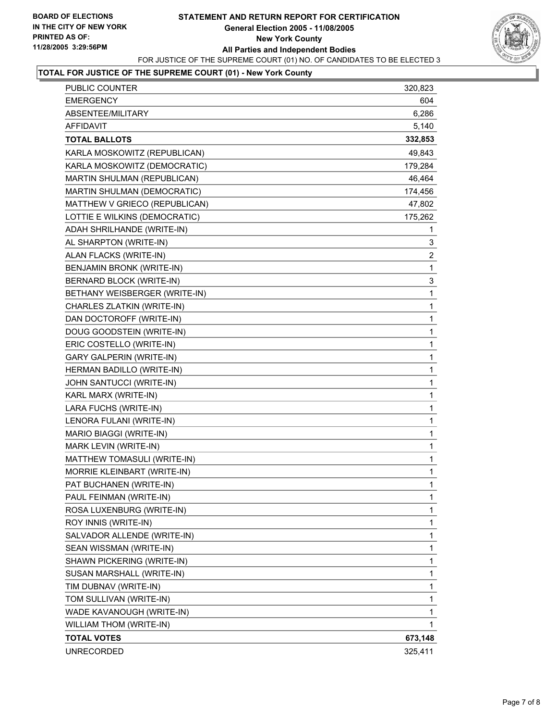## **STATEMENT AND RETURN REPORT FOR CERTIFICATION General Election 2005 - 11/08/2005 New York County All Parties and Independent Bodies** FOR JUSTICE OF THE SUPREME COURT (01) NO. OF CANDIDATES TO BE ELECTED 3



## **TOTAL FOR JUSTICE OF THE SUPREME COURT (01) - New York County**

| <b>PUBLIC COUNTER</b>              | 320,823                 |
|------------------------------------|-------------------------|
| <b>EMERGENCY</b>                   | 604                     |
| ABSENTEE/MILITARY                  | 6,286                   |
| AFFIDAVIT                          | 5,140                   |
| <b>TOTAL BALLOTS</b>               | 332,853                 |
| KARLA MOSKOWITZ (REPUBLICAN)       | 49,843                  |
| KARLA MOSKOWITZ (DEMOCRATIC)       | 179,284                 |
| MARTIN SHULMAN (REPUBLICAN)        | 46,464                  |
| <b>MARTIN SHULMAN (DEMOCRATIC)</b> | 174,456                 |
| MATTHEW V GRIECO (REPUBLICAN)      | 47,802                  |
| LOTTIE E WILKINS (DEMOCRATIC)      | 175,262                 |
| ADAH SHRILHANDE (WRITE-IN)         | 1                       |
| AL SHARPTON (WRITE-IN)             | 3                       |
| ALAN FLACKS (WRITE-IN)             | $\overline{\mathbf{c}}$ |
| BENJAMIN BRONK (WRITE-IN)          | $\mathbf{1}$            |
| BERNARD BLOCK (WRITE-IN)           | 3                       |
| BETHANY WEISBERGER (WRITE-IN)      | 1                       |
| CHARLES ZLATKIN (WRITE-IN)         | 1                       |
| DAN DOCTOROFF (WRITE-IN)           | 1                       |
| DOUG GOODSTEIN (WRITE-IN)          | 1                       |
| ERIC COSTELLO (WRITE-IN)           | 1                       |
| <b>GARY GALPERIN (WRITE-IN)</b>    | 1                       |
| HERMAN BADILLO (WRITE-IN)          | 1                       |
| JOHN SANTUCCI (WRITE-IN)           | 1                       |
| KARL MARX (WRITE-IN)               | 1                       |
| LARA FUCHS (WRITE-IN)              | 1                       |
| LENORA FULANI (WRITE-IN)           | 1                       |
| MARIO BIAGGI (WRITE-IN)            | 1                       |
| MARK LEVIN (WRITE-IN)              | 1                       |
| MATTHEW TOMASULI (WRITE-IN)        | 1                       |
| MORRIE KLEINBART (WRITE-IN)        | 1                       |
| PAT BUCHANEN (WRITE-IN)            | 1                       |
| PAUL FEINMAN (WRITE-IN)            | 1                       |
| ROSA LUXENBURG (WRITE-IN)          | 1                       |
| ROY INNIS (WRITE-IN)               | 1                       |
| SALVADOR ALLENDE (WRITE-IN)        | 1                       |
| SEAN WISSMAN (WRITE-IN)            | 1                       |
| SHAWN PICKERING (WRITE-IN)         | 1                       |
| SUSAN MARSHALL (WRITE-IN)          | 1                       |
| TIM DUBNAV (WRITE-IN)              | 1                       |
| TOM SULLIVAN (WRITE-IN)            | 1                       |
| WADE KAVANOUGH (WRITE-IN)          | 1                       |
| WILLIAM THOM (WRITE-IN)            | 1                       |
| <b>TOTAL VOTES</b>                 | 673,148                 |
| <b>UNRECORDED</b>                  | 325,411                 |
|                                    |                         |